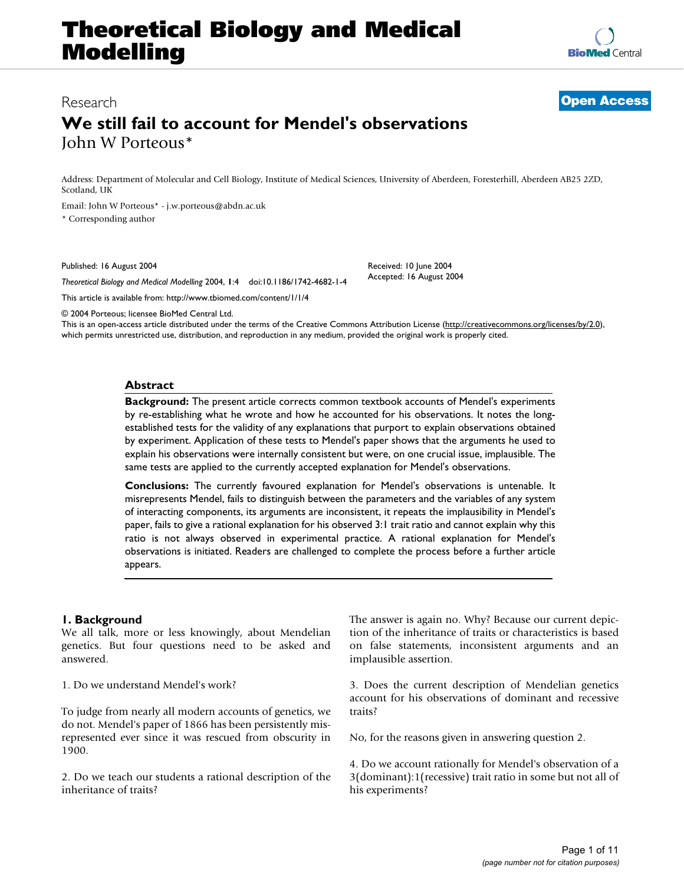# **Theoretical Biology and Medical Modelling**

**[BioMed](http://www.biomedcentral.com/)** Central

## Research **[Open Access](http://www.biomedcentral.com/info/about/charter/)**

## **We still fail to account for Mendel's observations** John W Porteous\*

Address: Department of Molecular and Cell Biology, Institute of Medical Sciences, University of Aberdeen, Foresterhill, Aberdeen AB25 2ZD, Scotland, UK

Email: John W Porteous\* - j.w.porteous@abdn.ac.uk

\* Corresponding author

Published: 16 August 2004

*Theoretical Biology and Medical Modelling* 2004, **1**:4 doi:10.1186/1742-4682-1-4

[This article is available from: http://www.tbiomed.com/content/1/1/4](http://www.tbiomed.com/content/1/1/4)

© 2004 Porteous; licensee BioMed Central Ltd.

This is an open-access article distributed under the terms of the Creative Commons Attribution License (<http://creativecommons.org/licenses/by/2.0>), which permits unrestricted use, distribution, and reproduction in any medium, provided the original work is properly cited.

Received: 10 June 2004 Accepted: 16 August 2004

## **Abstract**

**Background:** The present article corrects common textbook accounts of Mendel's experiments by re-establishing what he wrote and how he accounted for his observations. It notes the longestablished tests for the validity of any explanations that purport to explain observations obtained by experiment. Application of these tests to Mendel's paper shows that the arguments he used to explain his observations were internally consistent but were, on one crucial issue, implausible. The same tests are applied to the currently accepted explanation for Mendel's observations.

**Conclusions:** The currently favoured explanation for Mendel's observations is untenable. It misrepresents Mendel, fails to distinguish between the parameters and the variables of any system of interacting components, its arguments are inconsistent, it repeats the implausibility in Mendel's paper, fails to give a rational explanation for his observed 3:1 trait ratio and cannot explain why this ratio is not always observed in experimental practice. A rational explanation for Mendel's observations is initiated. Readers are challenged to complete the process before a further article appears.

## **1. Background**

We all talk, more or less knowingly, about Mendelian genetics. But four questions need to be asked and answered.

1. Do we understand Mendel's work?

To judge from nearly all modern accounts of genetics, we do not. Mendel's paper of 1866 has been persistently misrepresented ever since it was rescued from obscurity in 1900.

2. Do we teach our students a rational description of the inheritance of traits?

The answer is again no. Why? Because our current depiction of the inheritance of traits or characteristics is based on false statements, inconsistent arguments and an implausible assertion.

3. Does the current description of Mendelian genetics account for his observations of dominant and recessive traits?

No, for the reasons given in answering question 2.

4. Do we account rationally for Mendel's observation of a 3(dominant):1(recessive) trait ratio in some but not all of his experiments?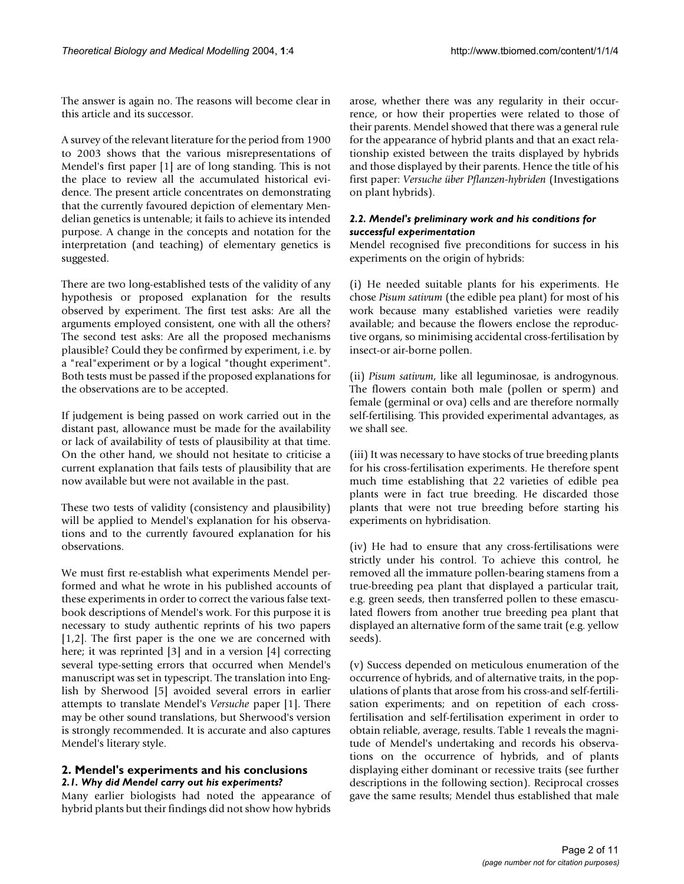The answer is again no. The reasons will become clear in this article and its successor.

A survey of the relevant literature for the period from 1900 to 2003 shows that the various misrepresentations of Mendel's first paper [1] are of long standing. This is not the place to review all the accumulated historical evidence. The present article concentrates on demonstrating that the currently favoured depiction of elementary Mendelian genetics is untenable; it fails to achieve its intended purpose. A change in the concepts and notation for the interpretation (and teaching) of elementary genetics is suggested.

There are two long-established tests of the validity of any hypothesis or proposed explanation for the results observed by experiment. The first test asks: Are all the arguments employed consistent, one with all the others? The second test asks: Are all the proposed mechanisms plausible? Could they be confirmed by experiment, i.e. by a "real"experiment or by a logical "thought experiment". Both tests must be passed if the proposed explanations for the observations are to be accepted.

If judgement is being passed on work carried out in the distant past, allowance must be made for the availability or lack of availability of tests of plausibility at that time. On the other hand, we should not hesitate to criticise a current explanation that fails tests of plausibility that are now available but were not available in the past.

These two tests of validity (consistency and plausibility) will be applied to Mendel's explanation for his observations and to the currently favoured explanation for his observations.

We must first re-establish what experiments Mendel performed and what he wrote in his published accounts of these experiments in order to correct the various false textbook descriptions of Mendel's work. For this purpose it is necessary to study authentic reprints of his two papers [1,2]. The first paper is the one we are concerned with here; it was reprinted [3] and in a version [\[4\]](#page-9-0) correcting several type-setting errors that occurred when Mendel's manuscript was set in typescript. The translation into English by Sherwood [5] avoided several errors in earlier attempts to translate Mendel's *Versuche* paper [1]. There may be other sound translations, but Sherwood's version is strongly recommended. It is accurate and also captures Mendel's literary style.

#### **2. Mendel's experiments and his conclusions** *2.1. Why did Mendel carry out his experiments?*

Many earlier biologists had noted the appearance of hybrid plants but their findings did not show how hybrids arose, whether there was any regularity in their occurrence, or how their properties were related to those of their parents. Mendel showed that there was a general rule for the appearance of hybrid plants and that an exact relationship existed between the traits displayed by hybrids and those displayed by their parents. Hence the title of his first paper: *Versuche über Pflanzen-hybriden* (Investigations on plant hybrids).

## *2.2. Mendel's preliminary work and his conditions for successful experimentation*

Mendel recognised five preconditions for success in his experiments on the origin of hybrids:

(i) He needed suitable plants for his experiments. He chose *Pisum sativum* (the edible pea plant) for most of his work because many established varieties were readily available; and because the flowers enclose the reproductive organs, so minimising accidental cross-fertilisation by insect-or air-borne pollen.

(ii) *Pisum sativum*, like all leguminosae, is androgynous. The flowers contain both male (pollen or sperm) and female (germinal or ova) cells and are therefore normally self-fertilising. This provided experimental advantages, as we shall see.

(iii) It was necessary to have stocks of true breeding plants for his cross-fertilisation experiments. He therefore spent much time establishing that 22 varieties of edible pea plants were in fact true breeding. He discarded those plants that were not true breeding before starting his experiments on hybridisation.

(iv) He had to ensure that any cross-fertilisations were strictly under his control. To achieve this control, he removed all the immature pollen-bearing stamens from a true-breeding pea plant that displayed a particular trait, e.g. green seeds, then transferred pollen to these emasculated flowers from another true breeding pea plant that displayed an alternative form of the same trait (e.g. yellow seeds).

(v) Success depended on meticulous enumeration of the occurrence of hybrids, and of alternative traits, in the populations of plants that arose from his cross-and self-fertilisation experiments; and on repetition of each crossfertilisation and self-fertilisation experiment in order to obtain reliable, average, results. Table [1](#page-2-0) reveals the magnitude of Mendel's undertaking and records his observations on the occurrence of hybrids, and of plants displaying either dominant or recessive traits (see further descriptions in the following section). Reciprocal crosses gave the same results; Mendel thus established that male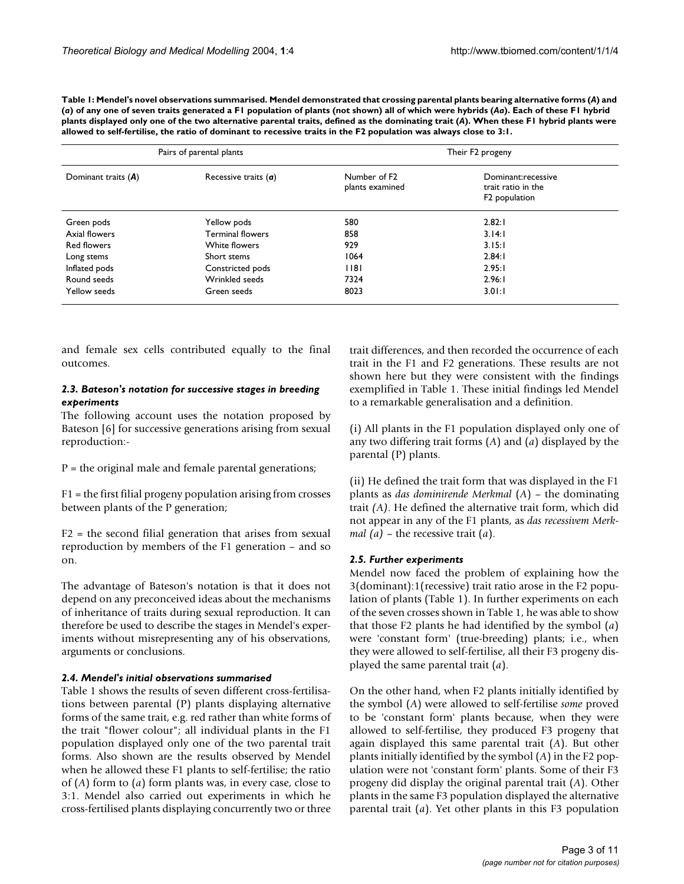<span id="page-2-0"></span>**Table 1: Mendel's novel observations summarised. Mendel demonstrated that crossing parental plants bearing alternative forms (***A***) and (***a***) of any one of seven traits generated a F1 population of plants (not shown) all of which were hybrids (***Aa***). Each of these F1 hybrid plants displayed only one of the two alternative parental traits, defined as the dominating trait (***A***). When these F1 hybrid plants were allowed to self-fertilise, the ratio of dominant to recessive traits in the F2 population was always close to 3:1.**

| Pairs of parental plants |                         | Their F2 progeny                            |                                                                       |
|--------------------------|-------------------------|---------------------------------------------|-----------------------------------------------------------------------|
| Dominant traits $(A)$    | Recessive traits $(a)$  | Number of F <sub>2</sub><br>plants examined | Dominant:recessive<br>trait ratio in the<br>F <sub>2</sub> population |
| Green pods               | Yellow pods             | 580                                         | 2.82:1                                                                |
| Axial flowers            | <b>Terminal flowers</b> | 858                                         | 3.14:1                                                                |
| <b>Red flowers</b>       | White flowers           | 929                                         | 3.15:1                                                                |
| Long stems               | Short stems             | 1064                                        | 2.84:1                                                                |
| Inflated pods            | Constricted pods        | 1181                                        | 2.95:1                                                                |
| Round seeds              | Wrinkled seeds          | 7324                                        | 2.96:1                                                                |
| Yellow seeds             | Green seeds             | 8023                                        | 3.01:1                                                                |

and female sex cells contributed equally to the final outcomes.

#### *2.3. Bateson's notation for successive stages in breeding experiments*

The following account uses the notation proposed by Bateson [6] for successive generations arising from sexual reproduction:-

 $P =$  the original male and female parental generations;

F1 = the first filial progeny population arising from crosses between plants of the P generation;

F2 = the second filial generation that arises from sexual reproduction by members of the F1 generation – and so on.

The advantage of Bateson's notation is that it does not depend on any preconceived ideas about the mechanisms of inheritance of traits during sexual reproduction. It can therefore be used to describe the stages in Mendel's experiments without misrepresenting any of his observations, arguments or conclusions.

#### *2.4. Mendel's initial observations summarised*

Table [1](#page-2-0) shows the results of seven different cross-fertilisations between parental (P) plants displaying alternative forms of the same trait, e.g. red rather than white forms of the trait "flower colour"; all individual plants in the F1 population displayed only one of the two parental trait forms. Also shown are the results observed by Mendel when he allowed these F1 plants to self-fertilise; the ratio of (*A*) form to (*a*) form plants was, in every case, close to 3:1. Mendel also carried out experiments in which he cross-fertilised plants displaying concurrently two or three trait differences, and then recorded the occurrence of each trait in the F1 and F2 generations. These results are not shown here but they were consistent with the findings exemplified in Table [1.](#page-2-0) These initial findings led Mendel to a remarkable generalisation and a definition.

(i) All plants in the F1 population displayed only one of any two differing trait forms (*A*) and (*a*) displayed by the parental (P) plants.

(ii) He defined the trait form that was displayed in the F1 plants as *das dominirende Merkmal* (*A*) – the dominating trait *(A)*. He defined the alternative trait form, which did not appear in any of the F1 plants, as *das recessivem Merkmal (a)* – the recessive trait (*a*).

## *2.5. Further experiments*

Mendel now faced the problem of explaining how the 3(dominant):1(recessive) trait ratio arose in the F2 population of plants (Table [1](#page-2-0)). In further experiments on each of the seven crosses shown in Table [1,](#page-2-0) he was able to show that those F2 plants he had identified by the symbol (*a*) were 'constant form' (true-breeding) plants; i.e., when they were allowed to self-fertilise, all their F3 progeny displayed the same parental trait (*a*).

On the other hand, when F2 plants initially identified by the symbol (*A*) were allowed to self-fertilise *some* proved to be 'constant form' plants because, when they were allowed to self-fertilise, they produced F3 progeny that again displayed this same parental trait (*A*). But other plants initially identified by the symbol (*A*) in the F2 population were not 'constant form' plants. Some of their F3 progeny did display the original parental trait (*A*). Other plants in the same F3 population displayed the alternative parental trait (*a*). Yet other plants in this F3 population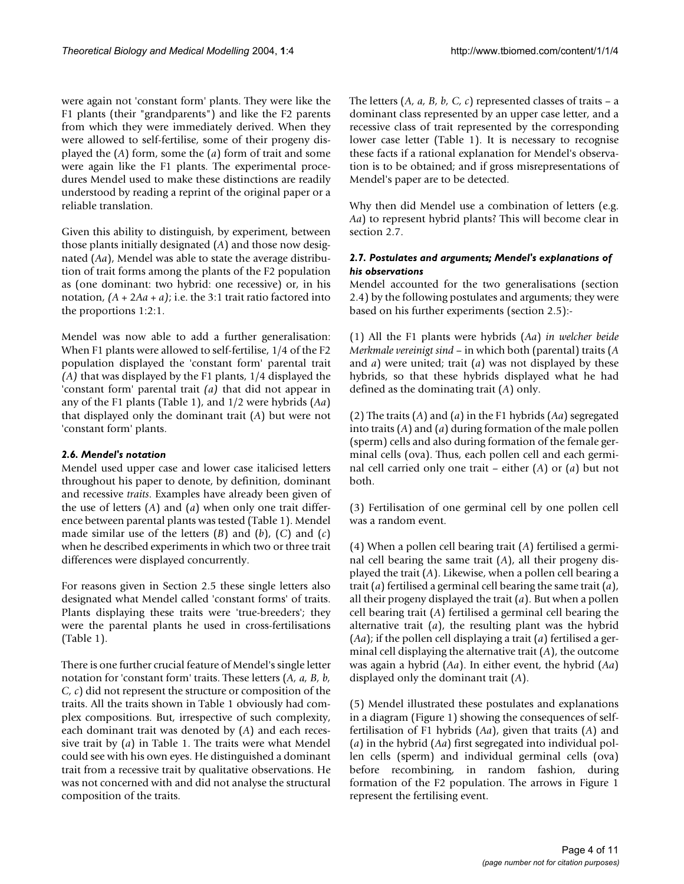were again not 'constant form' plants. They were like the F1 plants (their "grandparents") and like the F2 parents from which they were immediately derived. When they were allowed to self-fertilise, some of their progeny displayed the (*A*) form, some the (*a*) form of trait and some were again like the F1 plants. The experimental procedures Mendel used to make these distinctions are readily understood by reading a reprint of the original paper or a reliable translation.

Given this ability to distinguish, by experiment, between those plants initially designated (*A*) and those now designated (*Aa*), Mendel was able to state the average distribution of trait forms among the plants of the F2 population as (one dominant: two hybrid: one recessive) or, in his notation, *(A +* 2*Aa + a)*; i.e. the 3:1 trait ratio factored into the proportions 1:2:1.

Mendel was now able to add a further generalisation: When F1 plants were allowed to self-fertilise, 1/4 of the F2 population displayed the 'constant form' parental trait *(A)* that was displayed by the F1 plants, 1/4 displayed the 'constant form' parental trait *(a)* that did not appear in any of the F1 plants (Table [1](#page-2-0)), and 1/2 were hybrids (*Aa*) that displayed only the dominant trait (*A*) but were not 'constant form' plants.

## *2.6. Mendel's notation*

Mendel used upper case and lower case italicised letters throughout his paper to denote, by definition, dominant and recessive *traits*. Examples have already been given of the use of letters (*A*) and (*a*) when only one trait difference between parental plants was tested (Table [1\)](#page-2-0). Mendel made similar use of the letters (*B*) and (*b*), (*C*) and (*c*) when he described experiments in which two or three trait differences were displayed concurrently.

For reasons given in Section 2.5 these single letters also designated what Mendel called 'constant forms' of traits. Plants displaying these traits were 'true-breeders'; they were the parental plants he used in cross-fertilisations (Table [1\)](#page-2-0).

There is one further crucial feature of Mendel's single letter notation for 'constant form' traits. These letters (*A, a, B, b, C, c*) did not represent the structure or composition of the traits. All the traits shown in Table [1](#page-2-0) obviously had complex compositions. But, irrespective of such complexity, each dominant trait was denoted by (*A*) and each recessive trait by (*a*) in Table [1](#page-2-0). The traits were what Mendel could see with his own eyes. He distinguished a dominant trait from a recessive trait by qualitative observations. He was not concerned with and did not analyse the structural composition of the traits.

The letters (*A, a, B, b, C, c*) represented classes of traits – a dominant class represented by an upper case letter, and a recessive class of trait represented by the corresponding lower case letter (Table [1](#page-2-0)). It is necessary to recognise these facts if a rational explanation for Mendel's observation is to be obtained; and if gross misrepresentations of Mendel's paper are to be detected.

Why then did Mendel use a combination of letters (e.g. *Aa*) to represent hybrid plants? This will become clear in section 2.7.

## *2.7. Postulates and arguments; Mendel's explanations of his observations*

Mendel accounted for the two generalisations (section 2.4) by the following postulates and arguments; they were based on his further experiments (section 2.5):-

(1) All the F1 plants were hybrids (*Aa*) *in welcher beide Merkmale vereinigt sind* – in which both (parental) traits (*A* and *a*) were united; trait (*a*) was not displayed by these hybrids, so that these hybrids displayed what he had defined as the dominating trait (*A*) only.

(2) The traits (*A*) and (*a*) in the F1 hybrids (*Aa*) segregated into traits (*A*) and (*a*) during formation of the male pollen (sperm) cells and also during formation of the female germinal cells (ova). Thus, each pollen cell and each germinal cell carried only one trait – either (*A*) or (*a*) but not both.

(3) Fertilisation of one germinal cell by one pollen cell was a random event.

(4) When a pollen cell bearing trait (*A*) fertilised a germinal cell bearing the same trait (*A*), all their progeny displayed the trait (*A*). Likewise, when a pollen cell bearing a trait (*a*) fertilised a germinal cell bearing the same trait (*a*), all their progeny displayed the trait (*a*). But when a pollen cell bearing trait (*A*) fertilised a germinal cell bearing the alternative trait (*a*), the resulting plant was the hybrid (*Aa*); if the pollen cell displaying a trait (*a*) fertilised a germinal cell displaying the alternative trait (*A*), the outcome was again a hybrid (*Aa*). In either event, the hybrid (*Aa*) displayed only the dominant trait (*A*).

(5) Mendel illustrated these postulates and explanations in a diagram (Figure 1) showing the consequences of selffertilisation of F1 hybrids (*Aa*), given that traits (*A*) and (*a*) in the hybrid (*Aa*) first segregated into individual pollen cells (sperm) and individual germinal cells (ova) before recombining, in random fashion, during formation of the F2 population. The arrows in Figure 1 represent the fertilising event.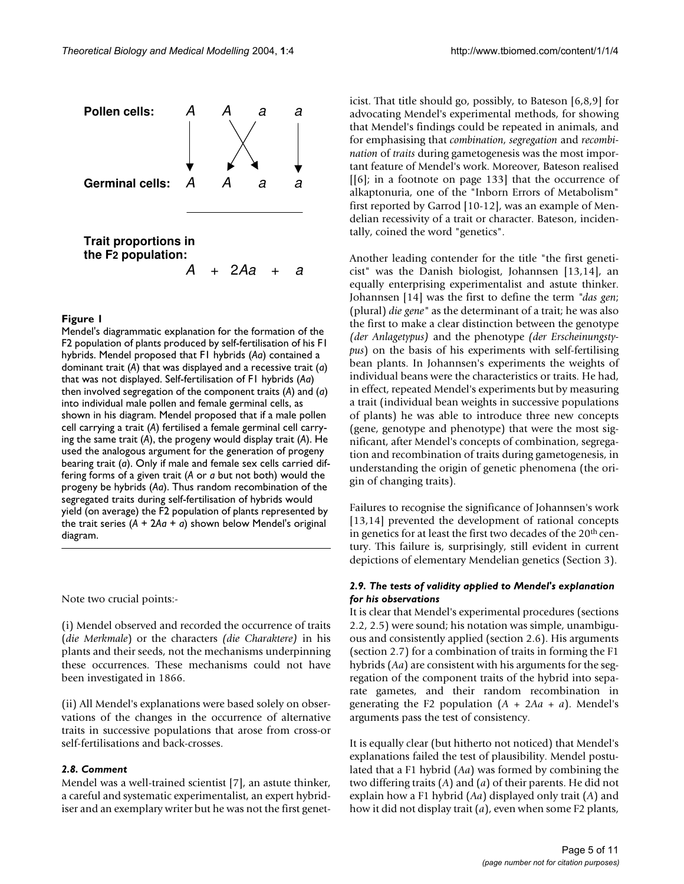

#### Figure 1

Mendel's diagrammatic explanation for the formation of the F2 population of plants produced by self-fertilisation of his F1 hybrids. Mendel proposed that F1 hybrids (*Aa*) contained a dominant trait (*A*) that was displayed and a recessive trait (*a*) that was not displayed. Self-fertilisation of F1 hybrids (*Aa*) then involved segregation of the component traits (*A*) and (*a*) into individual male pollen and female germinal cells, as shown in his diagram. Mendel proposed that if a male pollen cell carrying a trait (*A*) fertilised a female germinal cell carrying the same trait (*A*), the progeny would display trait (*A*). He used the analogous argument for the generation of progeny bearing trait (*a*). Only if male and female sex cells carried differing forms of a given trait (*A* or *a* but not both) would the progeny be hybrids (*Aa*). Thus random recombination of the segregated traits during self-fertilisation of hybrids would yield (on average) the F2 population of plants represented by the trait series (*A* + 2*Aa* + *a*) shown below Mendel's original diagram.

Note two crucial points:-

(i) Mendel observed and recorded the occurrence of traits (*die Merkmale*) or the characters *(die Charaktere)* in his plants and their seeds, not the mechanisms underpinning these occurrences. These mechanisms could not have been investigated in 1866.

(ii) All Mendel's explanations were based solely on observations of the changes in the occurrence of alternative traits in successive populations that arose from cross-or self-fertilisations and back-crosses.

#### *2.8. Comment*

Mendel was a well-trained scientist [7], an astute thinker, a careful and systematic experimentalist, an expert hybridiser and an exemplary writer but he was not the first geneticist. That title should go, possibly, to Bateson [6,8,9] for advocating Mendel's experimental methods, for showing that Mendel's findings could be repeated in animals, and for emphasising that *combination*, *segregation* and *recombination* of *traits* during gametogenesis was the most important feature of Mendel's work. Moreover, Bateson realised  $[6]$ ; in a footnote on page 133] that the occurrence of alkaptonuria, one of the "Inborn Errors of Metabolism" first reported by Garrod [10-12], was an example of Mendelian recessivity of a trait or character. Bateson, incidentally, coined the word "genetics".

Another leading contender for the title "the first geneticist" was the Danish biologist, Johannsen [13,14], an equally enterprising experimentalist and astute thinker. Johannsen [14] was the first to define the term *"das gen*; (plural) *die gene"* as the determinant of a trait; he was also the first to make a clear distinction between the genotype *(der Anlagetypus)* and the phenotype *(der Erscheinungstypus*) on the basis of his experiments with self-fertilising bean plants. In Johannsen's experiments the weights of individual beans were the characteristics or traits. He had, in effect, repeated Mendel's experiments but by measuring a trait (individual bean weights in successive populations of plants) he was able to introduce three new concepts (gene, genotype and phenotype) that were the most significant, after Mendel's concepts of combination, segregation and recombination of traits during gametogenesis, in understanding the origin of genetic phenomena (the origin of changing traits).

Failures to recognise the significance of Johannsen's work [13,14] prevented the development of rational concepts in genetics for at least the first two decades of the 20<sup>th</sup> century. This failure is, surprisingly, still evident in current depictions of elementary Mendelian genetics (Section 3).

#### *2.9. The tests of validity applied to Mendel's explanation for his observations*

It is clear that Mendel's experimental procedures (sections 2.2, 2.5) were sound; his notation was simple, unambiguous and consistently applied (section 2.6). His arguments (section 2.7) for a combination of traits in forming the F1 hybrids (*Aa*) are consistent with his arguments for the segregation of the component traits of the hybrid into separate gametes, and their random recombination in generating the F2 population (*A* + 2*Aa* + *a*). Mendel's arguments pass the test of consistency.

It is equally clear (but hitherto not noticed) that Mendel's explanations failed the test of plausibility. Mendel postulated that a F1 hybrid (*Aa*) was formed by combining the two differing traits (*A*) and (*a*) of their parents. He did not explain how a F1 hybrid (*Aa*) displayed only trait (*A*) and how it did not display trait (*a*), even when some F2 plants,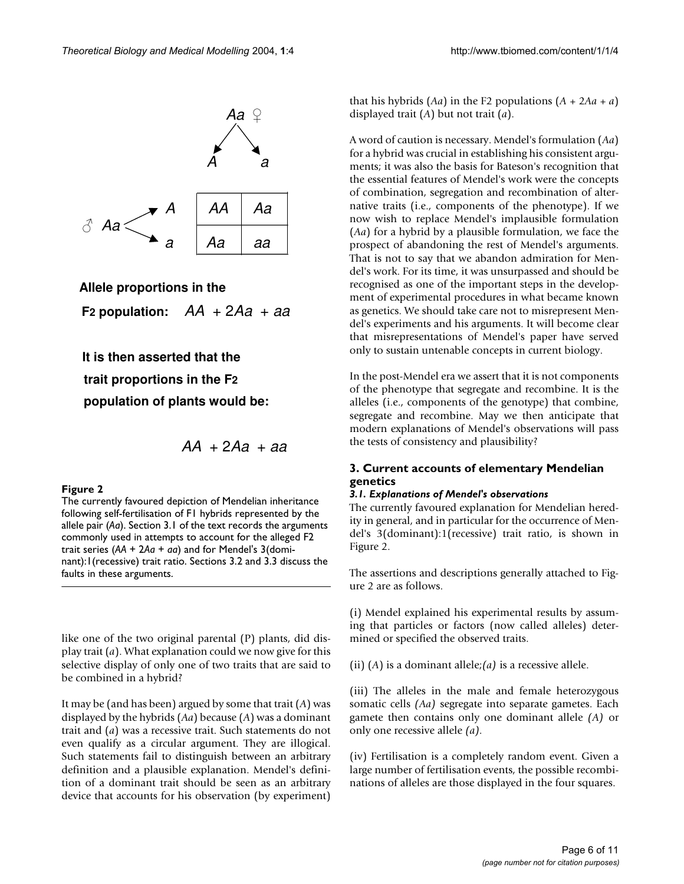

 **Allele proportions in the F2 population:** *AA* + 2*Aa* + *aa*

**It is then asserted that the**  **trait proportions in the F2 population of plants would be:**

$$
AA + 2Aa + aa
$$

#### Figure 2

The currently favoured depiction of Mendelian inheritance following self-fertilisation of F1 hybrids represented by the allele pair (*Aa*). Section 3.1 of the text records the arguments commonly used in attempts to account for the alleged F2 trait series (*AA* + 2*Aa* + *aa*) and for Mendel's 3(dominant):1(recessive) trait ratio. Sections 3.2 and 3.3 discuss the faults in these arguments.

like one of the two original parental (P) plants, did display trait (*a*). What explanation could we now give for this selective display of only one of two traits that are said to be combined in a hybrid?

It may be (and has been) argued by some that trait (*A*) was displayed by the hybrids (*Aa*) because (*A*) was a dominant trait and (*a*) was a recessive trait. Such statements do not even qualify as a circular argument. They are illogical. Such statements fail to distinguish between an arbitrary definition and a plausible explanation. Mendel's definition of a dominant trait should be seen as an arbitrary device that accounts for his observation (by experiment) that his hybrids (*Aa*) in the F2 populations ( $A + 2Aa + a$ ) displayed trait (*A*) but not trait (*a*).

A word of caution is necessary. Mendel's formulation (*Aa*) for a hybrid was crucial in establishing his consistent arguments; it was also the basis for Bateson's recognition that the essential features of Mendel's work were the concepts of combination, segregation and recombination of alternative traits (i.e., components of the phenotype). If we now wish to replace Mendel's implausible formulation (*Aa*) for a hybrid by a plausible formulation, we face the prospect of abandoning the rest of Mendel's arguments. That is not to say that we abandon admiration for Mendel's work. For its time, it was unsurpassed and should be recognised as one of the important steps in the development of experimental procedures in what became known as genetics. We should take care not to misrepresent Mendel's experiments and his arguments. It will become clear that misrepresentations of Mendel's paper have served only to sustain untenable concepts in current biology.

In the post-Mendel era we assert that it is not components of the phenotype that segregate and recombine. It is the alleles (i.e., components of the genotype) that combine, segregate and recombine. May we then anticipate that modern explanations of Mendel's observations will pass the tests of consistency and plausibility?

## **3. Current accounts of elementary Mendelian genetics**

#### *3.1. Explanations of Mendel's observations*

The currently favoured explanation for Mendelian heredity in general, and in particular for the occurrence of Mendel's 3(dominant):1(recessive) trait ratio, is shown in Figure 2.

The assertions and descriptions generally attached to Figure 2 are as follows.

(i) Mendel explained his experimental results by assuming that particles or factors (now called alleles) determined or specified the observed traits.

(ii) (*A*) is a dominant allele;*(a)* is a recessive allele.

(iii) The alleles in the male and female heterozygous somatic cells *(Aa)* segregate into separate gametes. Each gamete then contains only one dominant allele *(A)* or only one recessive allele *(a).*

(iv) Fertilisation is a completely random event. Given a large number of fertilisation events, the possible recombinations of alleles are those displayed in the four squares.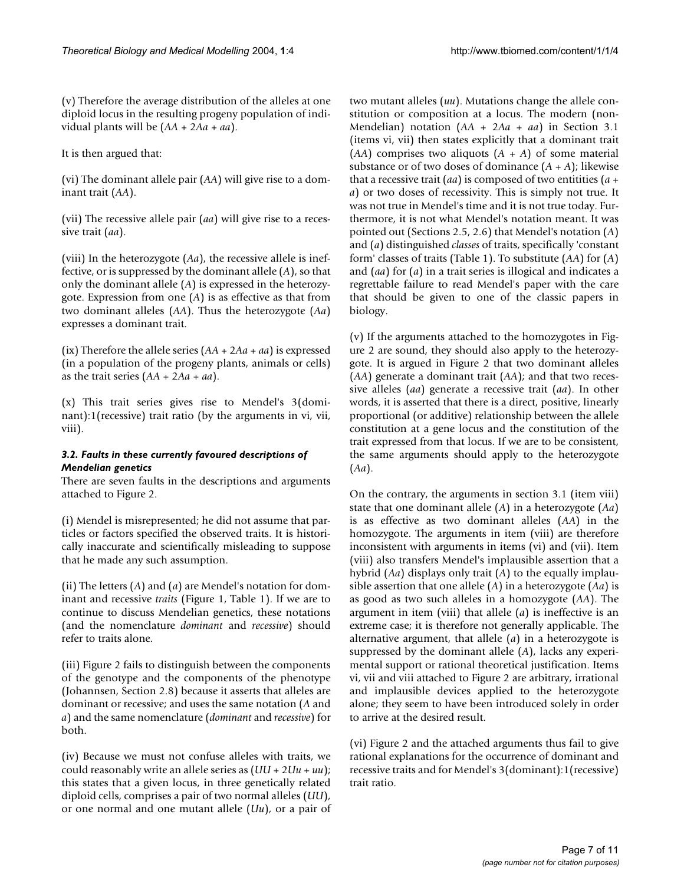(v) Therefore the average distribution of the alleles at one diploid locus in the resulting progeny population of individual plants will be (*AA* + 2*Aa* + *aa*).

It is then argued that:

(vi) The dominant allele pair (*AA*) will give rise to a dominant trait (*AA*).

(vii) The recessive allele pair (*aa*) will give rise to a recessive trait (*aa*).

(viii) In the heterozygote (*Aa*), the recessive allele is ineffective, or is suppressed by the dominant allele (*A*), so that only the dominant allele (*A*) is expressed in the heterozygote. Expression from one (*A*) is as effective as that from two dominant alleles (*AA*). Thus the heterozygote (*Aa*) expresses a dominant trait.

(ix) Therefore the allele series (*AA* + 2*Aa* + *aa*) is expressed (in a population of the progeny plants, animals or cells) as the trait series (*AA +* 2*Aa + aa*).

(x) This trait series gives rise to Mendel's 3(dominant):1(recessive) trait ratio (by the arguments in vi, vii, viii).

#### *3.2. Faults in these currently favoured descriptions of Mendelian genetics*

There are seven faults in the descriptions and arguments attached to Figure 2.

(i) Mendel is misrepresented; he did not assume that particles or factors specified the observed traits. It is historically inaccurate and scientifically misleading to suppose that he made any such assumption.

(ii) The letters (*A*) and (*a*) are Mendel's notation for dominant and recessive *traits* (Figure 1, Table [1\)](#page-2-0). If we are to continue to discuss Mendelian genetics, these notations (and the nomenclature *dominant* and *recessive*) should refer to traits alone.

(iii) Figure 2 fails to distinguish between the components of the genotype and the components of the phenotype (Johannsen, Section 2.8) because it asserts that alleles are dominant or recessive; and uses the same notation (*A* and *a*) and the same nomenclature (*dominant* and *recessive*) for both.

(iv) Because we must not confuse alleles with traits, we could reasonably write an allele series as (*UU* + 2*Uu* + *uu*); this states that a given locus, in three genetically related diploid cells, comprises a pair of two normal alleles (*UU*), or one normal and one mutant allele (*Uu*), or a pair of two mutant alleles (*uu*). Mutations change the allele constitution or composition at a locus. The modern (non-Mendelian) notation (*AA +* 2*Aa + aa*) in Section 3.1 (items vi, vii) then states explicitly that a dominant trait (*AA*) comprises two aliquots (*A* + *A*) of some material substance or of two doses of dominance  $(A + A)$ ; likewise that a recessive trait (*aa*) is composed of two entitities (*a* + *a*) or two doses of recessivity. This is simply not true. It was not true in Mendel's time and it is not true today. Furthermore, it is not what Mendel's notation meant. It was pointed out (Sections 2.5, 2.6) that Mendel's notation (*A*) and (*a*) distinguished *classes* of traits, specifically 'constant form' classes of traits (Table [1](#page-2-0)). To substitute (*AA*) for (*A*) and (*aa*) for (*a*) in a trait series is illogical and indicates a regrettable failure to read Mendel's paper with the care that should be given to one of the classic papers in biology.

(v) If the arguments attached to the homozygotes in Figure 2 are sound, they should also apply to the heterozygote. It is argued in Figure 2 that two dominant alleles (*AA*) generate a dominant trait (*AA*); and that two recessive alleles (*aa*) generate a recessive trait (*aa*). In other words, it is asserted that there is a direct, positive, linearly proportional (or additive) relationship between the allele constitution at a gene locus and the constitution of the trait expressed from that locus. If we are to be consistent, the same arguments should apply to the heterozygote (*Aa*).

On the contrary, the arguments in section 3.1 (item viii) state that one dominant allele (*A*) in a heterozygote (*Aa*) is as effective as two dominant alleles (*AA*) in the homozygote. The arguments in item (viii) are therefore inconsistent with arguments in items (vi) and (vii). Item (viii) also transfers Mendel's implausible assertion that a hybrid (*Aa*) displays only trait (*A*) to the equally implausible assertion that one allele (*A*) in a heterozygote (*Aa*) is as good as two such alleles in a homozygote (*AA*). The argument in item (viii) that allele (*a*) is ineffective is an extreme case; it is therefore not generally applicable. The alternative argument, that allele (*a*) in a heterozygote is suppressed by the dominant allele (*A*), lacks any experimental support or rational theoretical justification. Items vi, vii and viii attached to Figure 2 are arbitrary, irrational and implausible devices applied to the heterozygote alone; they seem to have been introduced solely in order to arrive at the desired result.

(vi) Figure 2 and the attached arguments thus fail to give rational explanations for the occurrence of dominant and recessive traits and for Mendel's 3(dominant):1(recessive) trait ratio.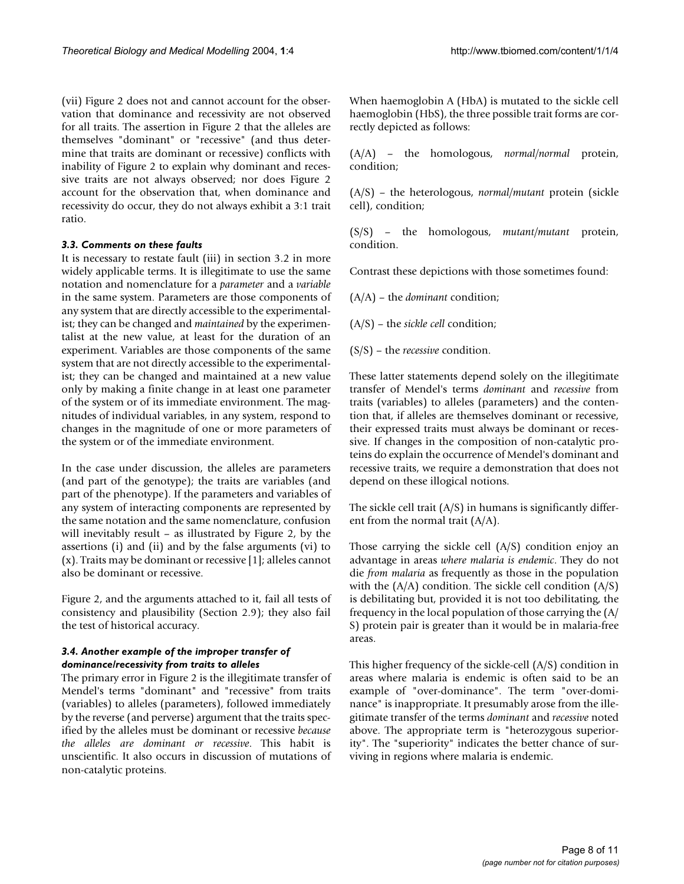(vii) Figure 2 does not and cannot account for the observation that dominance and recessivity are not observed for all traits. The assertion in Figure 2 that the alleles are themselves "dominant" or "recessive" (and thus determine that traits are dominant or recessive) conflicts with inability of Figure 2 to explain why dominant and recessive traits are not always observed; nor does Figure 2 account for the observation that, when dominance and recessivity do occur, they do not always exhibit a 3:1 trait ratio.

#### *3.3. Comments on these faults*

It is necessary to restate fault (iii) in section 3.2 in more widely applicable terms. It is illegitimate to use the same notation and nomenclature for a *parameter* and a *variable* in the same system. Parameters are those components of any system that are directly accessible to the experimentalist; they can be changed and *maintained* by the experimentalist at the new value, at least for the duration of an experiment. Variables are those components of the same system that are not directly accessible to the experimentalist; they can be changed and maintained at a new value only by making a finite change in at least one parameter of the system or of its immediate environment. The magnitudes of individual variables, in any system, respond to changes in the magnitude of one or more parameters of the system or of the immediate environment.

In the case under discussion, the alleles are parameters (and part of the genotype); the traits are variables (and part of the phenotype). If the parameters and variables of any system of interacting components are represented by the same notation and the same nomenclature, confusion will inevitably result – as illustrated by Figure 2, by the assertions (i) and (ii) and by the false arguments (vi) to (x). Traits may be dominant or recessive [1]; alleles cannot also be dominant or recessive.

Figure 2, and the arguments attached to it, fail all tests of consistency and plausibility (Section 2.9); they also fail the test of historical accuracy.

#### *3.4. Another example of the improper transfer of dominance/recessivity from traits to alleles*

The primary error in Figure 2 is the illegitimate transfer of Mendel's terms "dominant" and "recessive" from traits (variables) to alleles (parameters), followed immediately by the reverse (and perverse) argument that the traits specified by the alleles must be dominant or recessive *because the alleles are dominant or recessive*. This habit is unscientific. It also occurs in discussion of mutations of non-catalytic proteins.

When haemoglobin A (HbA) is mutated to the sickle cell haemoglobin (HbS), the three possible trait forms are correctly depicted as follows:

(A/A) – the homologous, *normal/normal* protein, condition;

(A/S) – the heterologous, *normal/mutant* protein (sickle cell), condition;

(S/S) – the homologous, *mutant/mutant* protein, condition.

Contrast these depictions with those sometimes found:

(A/A) – the *dominant* condition;

(A/S) – the *sickle cell* condition;

(S/S) – the *recessive* condition.

These latter statements depend solely on the illegitimate transfer of Mendel's terms *dominant* and *recessive* from traits (variables) to alleles (parameters) and the contention that, if alleles are themselves dominant or recessive, their expressed traits must always be dominant or recessive. If changes in the composition of non-catalytic proteins do explain the occurrence of Mendel's dominant and recessive traits, we require a demonstration that does not depend on these illogical notions.

The sickle cell trait (A/S) in humans is significantly different from the normal trait (A/A).

Those carrying the sickle cell (A/S) condition enjoy an advantage in areas *where malaria is endemic*. They do not die *from malaria* as frequently as those in the population with the  $(A/A)$  condition. The sickle cell condition  $(A/S)$ is debilitating but, provided it is not too debilitating, the frequency in the local population of those carrying the (A/ S) protein pair is greater than it would be in malaria-free areas.

This higher frequency of the sickle-cell (A/S) condition in areas where malaria is endemic is often said to be an example of "over-dominance". The term "over-dominance" is inappropriate. It presumably arose from the illegitimate transfer of the terms *dominant* and *recessive* noted above. The appropriate term is "heterozygous superiority". The "superiority" indicates the better chance of surviving in regions where malaria is endemic.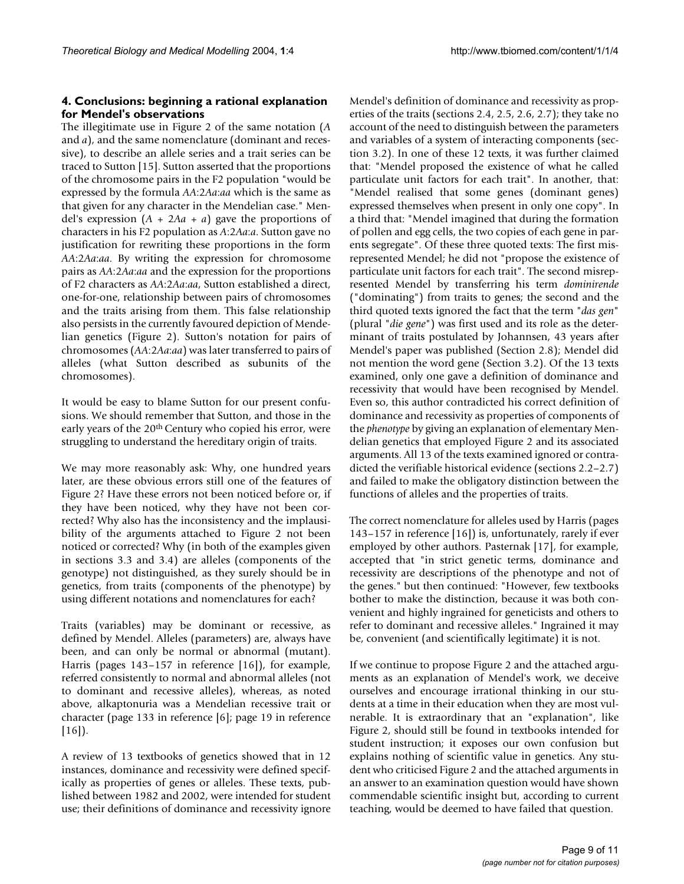## **4. Conclusions: beginning a rational explanation for Mendel's observations**

The illegitimate use in Figure 2 of the same notation (*A* and *a*), and the same nomenclature (dominant and recessive), to describe an allele series and a trait series can be traced to Sutton [15]. Sutton asserted that the proportions of the chromosome pairs in the F2 population "would be expressed by the formula *AA*:2*Aa*:*aa* which is the same as that given for any character in the Mendelian case." Mendel's expression  $(A + 2Aa + a)$  gave the proportions of characters in his F2 population as *A*:2*Aa*:*a*. Sutton gave no justification for rewriting these proportions in the form *AA*:2*Aa*:*aa*. By writing the expression for chromosome pairs as *AA*:2*Aa*:*aa* and the expression for the proportions of F2 characters as *AA*:2*Aa*:*aa*, Sutton established a direct, one-for-one, relationship between pairs of chromosomes and the traits arising from them. This false relationship also persists in the currently favoured depiction of Mendelian genetics (Figure 2). Sutton's notation for pairs of chromosomes (*AA*:2*Aa*:*aa*) was later transferred to pairs of alleles (what Sutton described as subunits of the chromosomes).

It would be easy to blame Sutton for our present confusions. We should remember that Sutton, and those in the early years of the 20<sup>th</sup> Century who copied his error, were struggling to understand the hereditary origin of traits.

We may more reasonably ask: Why, one hundred years later, are these obvious errors still one of the features of Figure 2? Have these errors not been noticed before or, if they have been noticed, why they have not been corrected? Why also has the inconsistency and the implausibility of the arguments attached to Figure 2 not been noticed or corrected? Why (in both of the examples given in sections 3.3 and 3.4) are alleles (components of the genotype) not distinguished, as they surely should be in genetics, from traits (components of the phenotype) by using different notations and nomenclatures for each?

Traits (variables) may be dominant or recessive, as defined by Mendel. Alleles (parameters) are, always have been, and can only be normal or abnormal (mutant). Harris (pages 143–157 in reference [16]), for example, referred consistently to normal and abnormal alleles (not to dominant and recessive alleles), whereas, as noted above, alkaptonuria was a Mendelian recessive trait or character (page 133 in reference [6]; page 19 in reference  $[16]$ ).

A review of 13 textbooks of genetics showed that in 12 instances, dominance and recessivity were defined specifically as properties of genes or alleles. These texts, published between 1982 and 2002, were intended for student use; their definitions of dominance and recessivity ignore

Mendel's definition of dominance and recessivity as properties of the traits (sections 2.4, 2.5, 2.6, 2.7); they take no account of the need to distinguish between the parameters and variables of a system of interacting components (section 3.2). In one of these 12 texts, it was further claimed that: "Mendel proposed the existence of what he called particulate unit factors for each trait". In another, that: "Mendel realised that some genes (dominant genes) expressed themselves when present in only one copy". In a third that: "Mendel imagined that during the formation of pollen and egg cells, the two copies of each gene in parents segregate". Of these three quoted texts: The first misrepresented Mendel; he did not "propose the existence of particulate unit factors for each trait". The second misrepresented Mendel by transferring his term *dominirende* ("dominating") from traits to genes; the second and the third quoted texts ignored the fact that the term "*das gen*" (plural "*die gene*") was first used and its role as the determinant of traits postulated by Johannsen, 43 years after Mendel's paper was published (Section 2.8); Mendel did not mention the word gene (Section 3.2). Of the 13 texts examined, only one gave a definition of dominance and recessivity that would have been recognised by Mendel. Even so, this author contradicted his correct definition of dominance and recessivity as properties of components of the *phenotype* by giving an explanation of elementary Mendelian genetics that employed Figure 2 and its associated arguments. All 13 of the texts examined ignored or contradicted the verifiable historical evidence (sections 2.2–2.7) and failed to make the obligatory distinction between the functions of alleles and the properties of traits.

The correct nomenclature for alleles used by Harris (pages 143–157 in reference [16]) is, unfortunately, rarely if ever employed by other authors. Pasternak [17], for example, accepted that "in strict genetic terms, dominance and recessivity are descriptions of the phenotype and not of the genes." but then continued: "However, few textbooks bother to make the distinction, because it was both convenient and highly ingrained for geneticists and others to refer to dominant and recessive alleles." Ingrained it may be, convenient (and scientifically legitimate) it is not.

If we continue to propose Figure 2 and the attached arguments as an explanation of Mendel's work, we deceive ourselves and encourage irrational thinking in our students at a time in their education when they are most vulnerable. It is extraordinary that an "explanation", like Figure 2, should still be found in textbooks intended for student instruction; it exposes our own confusion but explains nothing of scientific value in genetics. Any student who criticised Figure 2 and the attached arguments in an answer to an examination question would have shown commendable scientific insight but, according to current teaching, would be deemed to have failed that question.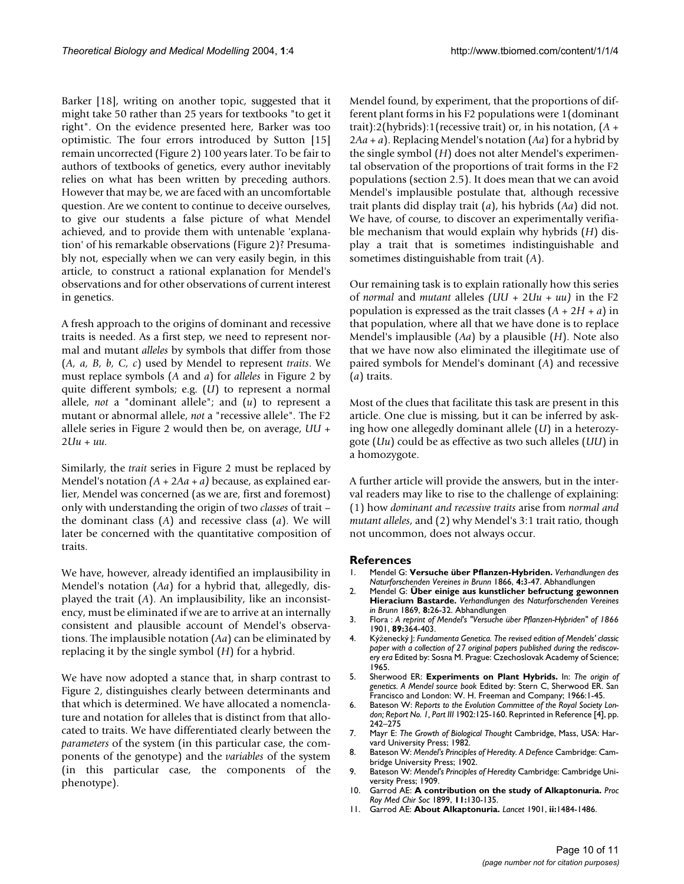Barker [18], writing on another topic, suggested that it might take 50 rather than 25 years for textbooks "to get it right". On the evidence presented here, Barker was too optimistic. The four errors introduced by Sutton [15] remain uncorrected (Figure 2) 100 years later. To be fair to authors of textbooks of genetics, every author inevitably relies on what has been written by preceding authors. However that may be, we are faced with an uncomfortable question. Are we content to continue to deceive ourselves, to give our students a false picture of what Mendel achieved, and to provide them with untenable 'explanation' of his remarkable observations (Figure 2)? Presumably not, especially when we can very easily begin, in this article, to construct a rational explanation for Mendel's observations and for other observations of current interest in genetics.

A fresh approach to the origins of dominant and recessive traits is needed. As a first step, we need to represent normal and mutant *alleles* by symbols that differ from those (*A, a, B, b, C, c*) used by Mendel to represent *traits*. We must replace symbols (*A* and *a*) for *alleles* in Figure 2 by quite different symbols; e.g. (*U*) to represent a normal allele, *not* a "dominant allele"; and (*u*) to represent a mutant or abnormal allele, *not* a "recessive allele"*.* The F2 allele series in Figure 2 would then be, on average, *UU* + 2*Uu* + *uu.*

Similarly, the *trait* series in Figure 2 must be replaced by Mendel's notation *(A* + 2*Aa* + *a)* because, as explained earlier, Mendel was concerned (as we are, first and foremost) only with understanding the origin of two *classes* of trait – the dominant class (*A*) and recessive class (*a*). We will later be concerned with the quantitative composition of traits.

We have, however, already identified an implausibility in Mendel's notation (*Aa*) for a hybrid that, allegedly, displayed the trait (*A*). An implausibility, like an inconsistency, must be eliminated if we are to arrive at an internally consistent and plausible account of Mendel's observations. The implausible notation (*Aa*) can be eliminated by replacing it by the single symbol (*H*) for a hybrid.

We have now adopted a stance that, in sharp contrast to Figure 2, distinguishes clearly between determinants and that which is determined. We have allocated a nomenclature and notation for alleles that is distinct from that allocated to traits. We have differentiated clearly between the *parameters* of the system (in this particular case, the components of the genotype) and the *variables* of the system (in this particular case, the components of the phenotype).

Mendel found, by experiment, that the proportions of different plant forms in his F2 populations were 1(dominant trait):2(hybrids):1(recessive trait) or, in his notation, (*A* + 2*Aa* + *a*). Replacing Mendel's notation (*Aa*) for a hybrid by the single symbol (*H*) does not alter Mendel's experimental observation of the proportions of trait forms in the F2 populations (section 2.5). It does mean that we can avoid Mendel's implausible postulate that, although recessive trait plants did display trait (*a*), his hybrids (*Aa*) did not. We have, of course, to discover an experimentally verifiable mechanism that would explain why hybrids (*H*) display a trait that is sometimes indistinguishable and sometimes distinguishable from trait (*A*).

Our remaining task is to explain rationally how this series of *normal* and *mutant* alleles *(UU* + 2*Uu* + *uu)* in the F2 population is expressed as the trait classes (*A* + 2*H* + *a*) in that population, where all that we have done is to replace Mendel's implausible (*Aa*) by a plausible (*H*). Note also that we have now also eliminated the illegitimate use of paired symbols for Mendel's dominant (*A*) and recessive (*a*) traits.

Most of the clues that facilitate this task are present in this article. One clue is missing, but it can be inferred by asking how one allegedly dominant allele (*U*) in a heterozygote (*Uu*) could be as effective as two such alleles (*UU*) in a homozygote.

A further article will provide the answers, but in the interval readers may like to rise to the challenge of explaining: (1) how *dominant and recessive traits* arise from *normal and mutant alleles*, and (2) why Mendel's 3:1 trait ratio, though not uncommon, does not always occur.

#### **References**

- 1. Mendel G: **Versuche über Pflanzen-Hybriden.** *Verhandlungen des Naturforschenden Vereines in Brunn* 1866, **4:**3-47. Abhandlungen
- 2. Mendel G: **Über einige aus kunstlicher befructung gewonnen Hieracium Bastarde.** *Verhandlungen des Naturforschenden Vereines in Brunn* 1869, **8:**26-32. Abhandlungen
- 3. Flora : *A reprint of Mendel's "Versuche über Pflanzen-Hybriden" of 1866* 1901, **89:**364-403.
- <span id="page-9-0"></span>4. Kýženecký J: *Fundamenta Genetica. The revised edition of Mendels' classic paper with a collection of 27 original papers published during the rediscovery era* Edited by: Sosna M. Prague: Czechoslovak Academy of Science; 1965.
- 5. Sherwood ER: **Experiments on Plant Hybrids.** In: *The origin of genetics. A Mendel source book* Edited by: Stern C, Sherwood ER. San Francisco and London: W. H. Freeman and Company; 1966:1-45.
- 6. Bateson W: *Reports to the Evolution Committee of the Royal Society London; Report No. 1, Part III* 1902:125-160. Reprinted in Reference [4], pp. 242–275
- 7. Mayr E: *The Growth of Biological Thought* Cambridge, Mass, USA: Harvard University Press; 1982.
- 8. Bateson W: *Mendel's Principles of Heredity. A Defence* Cambridge: Cambridge University Press; 1902.
- 9. Bateson W: *Mendel's Principles of Heredity* Cambridge: Cambridge University Press; 1909.
- 10. Garrod AE: **A contribution on the study of Alkaptonuria.** *Proc Roy Med Chir Soc* 1899, **11:**130-135.
- 11. Garrod AE: **[About Alkaptonuria.](http://www.ncbi.nlm.nih.gov/entrez/query.fcgi?cmd=Retrieve&db=PubMed&dopt=Abstract&list_uids=10.1016/S0140-6736(01)74537-0)** *Lancet* 1901, **ii:**1484-1486.